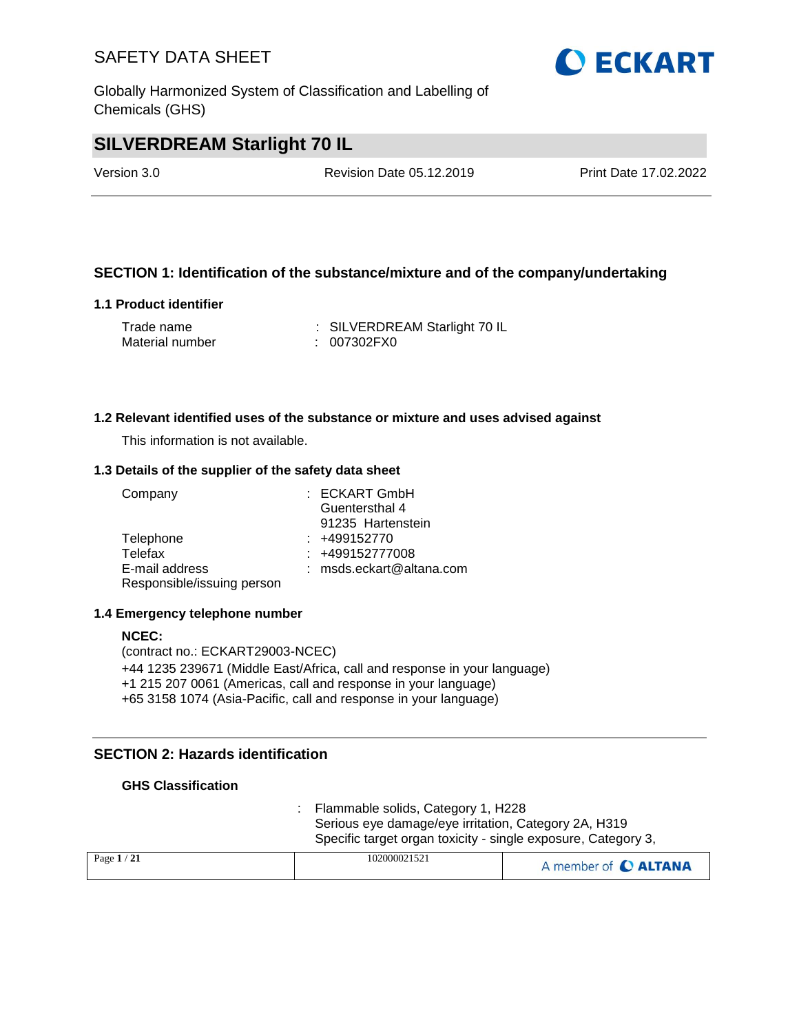Globally Harmonized System of Classification and Labelling of Chemicals (GHS)

## **SILVERDREAM Starlight 70 IL**

Version 3.0 Revision Date 05.12.2019 Print Date 17.02.2022

### **SECTION 1: Identification of the substance/mixture and of the company/undertaking**

### **1.1 Product identifier**

| Trade name      | : SILVERDREAM Starlight 70 IL |
|-----------------|-------------------------------|
| Material number | : 007302FX0                   |

### **1.2 Relevant identified uses of the substance or mixture and uses advised against**

This information is not available.

### **1.3 Details of the supplier of the safety data sheet**

| Company                    | : ECKART GmbH            |
|----------------------------|--------------------------|
|                            | Guentersthal 4           |
|                            | 91235 Hartenstein        |
| Telephone                  | $: +499152770$           |
| Telefax                    | : +499152777008          |
| E-mail address             | : msds.eckart@altana.com |
| Responsible/issuing person |                          |

### **1.4 Emergency telephone number**

### **NCEC:** (contract no.: ECKART29003-NCEC) +44 1235 239671 (Middle East/Africa, call and response in your language) +1 215 207 0061 (Americas, call and response in your language) +65 3158 1074 (Asia-Pacific, call and response in your language)

### **SECTION 2: Hazards identification**

### **GHS Classification**

: Flammable solids, Category 1, H228 Serious eye damage/eye irritation, Category 2A, H319 Specific target organ toxicity - single exposure, Category 3,

| Page $1/21$ | 102000021521 | A member of C ALTANA |
|-------------|--------------|----------------------|
|             |              |                      |

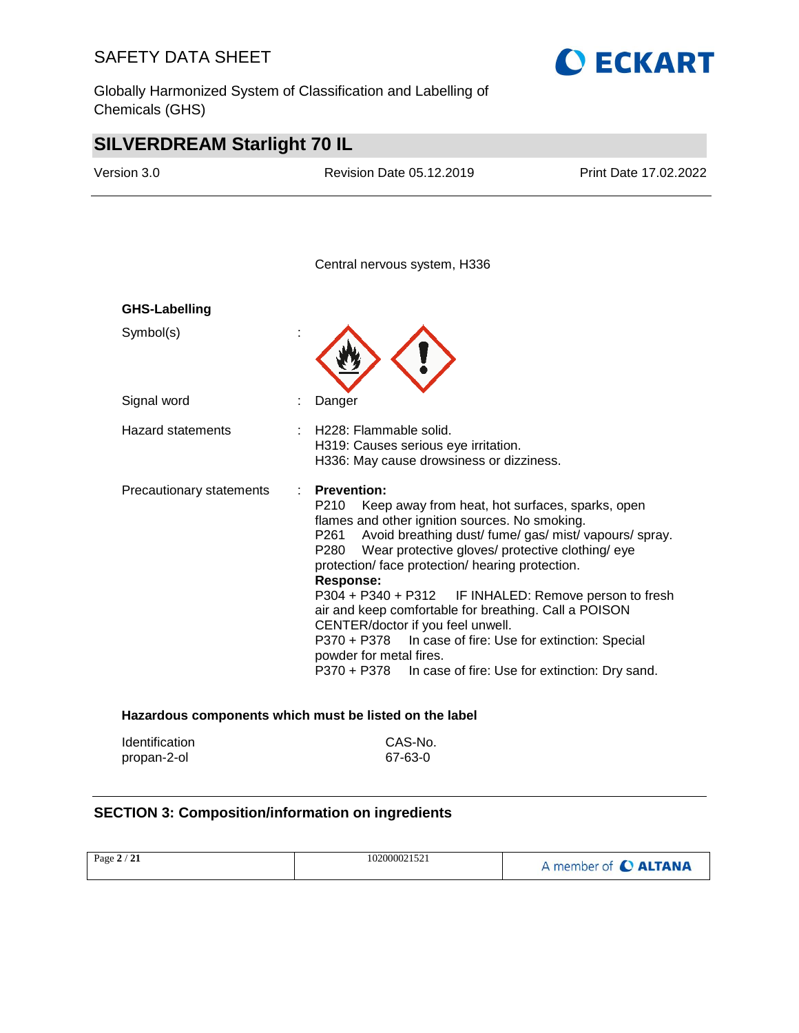Globally Harmonized System of Classification and Labelling of Chemicals (GHS)



## **SILVERDREAM Starlight 70 IL**

| Version 3.0              | <b>Revision Date 05.12.2019</b>                                                                                                                                                                                                                                                                                                                                                                                                                                                                                                                                                | Print Date 17.02.2022                                                                |
|--------------------------|--------------------------------------------------------------------------------------------------------------------------------------------------------------------------------------------------------------------------------------------------------------------------------------------------------------------------------------------------------------------------------------------------------------------------------------------------------------------------------------------------------------------------------------------------------------------------------|--------------------------------------------------------------------------------------|
|                          | Central nervous system, H336                                                                                                                                                                                                                                                                                                                                                                                                                                                                                                                                                   |                                                                                      |
| <b>GHS-Labelling</b>     |                                                                                                                                                                                                                                                                                                                                                                                                                                                                                                                                                                                |                                                                                      |
| Symbol(s)                |                                                                                                                                                                                                                                                                                                                                                                                                                                                                                                                                                                                |                                                                                      |
| Signal word              | Danger                                                                                                                                                                                                                                                                                                                                                                                                                                                                                                                                                                         |                                                                                      |
| <b>Hazard statements</b> | H228: Flammable solid.<br>H319: Causes serious eye irritation.<br>H336: May cause drowsiness or dizziness.                                                                                                                                                                                                                                                                                                                                                                                                                                                                     |                                                                                      |
| Precautionary statements | <b>Prevention:</b><br>P210<br>Keep away from heat, hot surfaces, sparks, open<br>flames and other ignition sources. No smoking.<br>Avoid breathing dust/ fume/ gas/ mist/ vapours/ spray.<br>P <sub>261</sub><br>P280<br>Wear protective gloves/ protective clothing/ eye<br>protection/ face protection/ hearing protection.<br><b>Response:</b><br>P304 + P340 + P312<br>air and keep comfortable for breathing. Call a POISON<br>CENTER/doctor if you feel unwell.<br>P370 + P378<br>In case of fire: Use for extinction: Special<br>powder for metal fires.<br>P370 + P378 | IF INHALED: Remove person to fresh<br>In case of fire: Use for extinction: Dry sand. |

| <b>Identification</b> | CAS-No. |
|-----------------------|---------|
| propan-2-ol           | 67-63-0 |

### **SECTION 3: Composition/information on ingredients**

| Page $2/21$ | 102000021521 | A member of C ALTANA |
|-------------|--------------|----------------------|
|             |              |                      |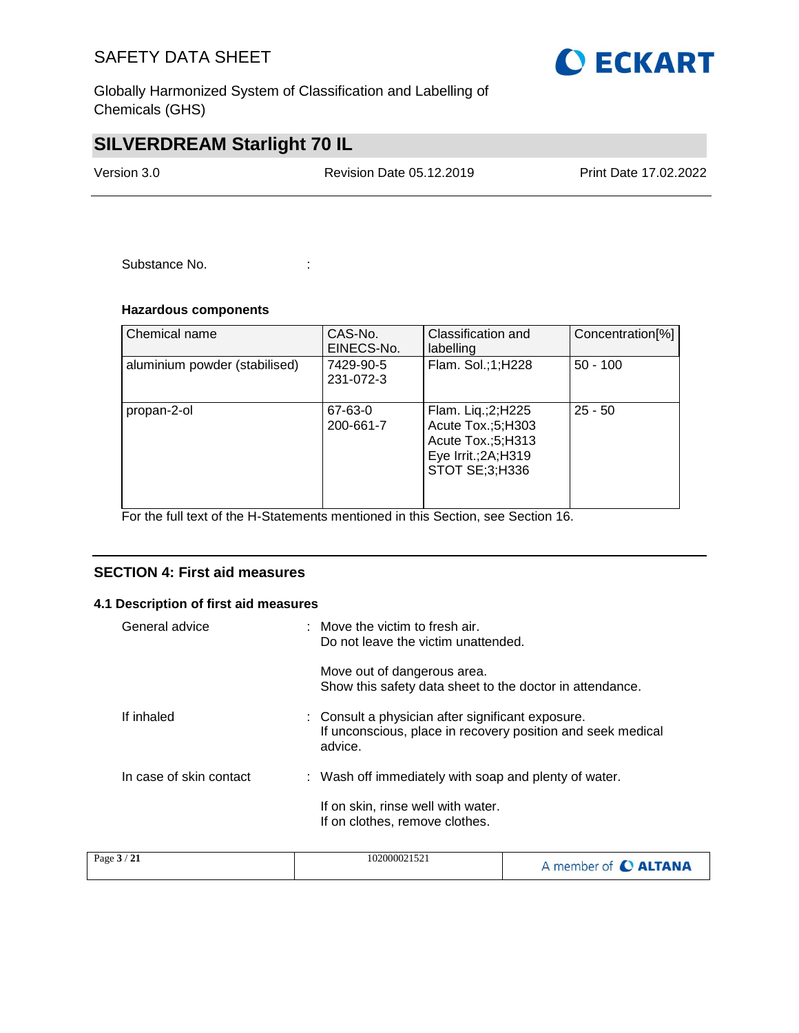Globally Harmonized System of Classification and Labelling of Chemicals (GHS)

## **SILVERDREAM Starlight 70 IL**

Version 3.0 Revision Date 05.12.2019 Print Date 17.02.2022

Substance No. **:** :

### **Hazardous components**

| Chemical name                 | CAS-No.<br>EINECS-No.  | Classification and<br>labelling                                                                       | Concentration <sup>[%]</sup> |
|-------------------------------|------------------------|-------------------------------------------------------------------------------------------------------|------------------------------|
| aluminium powder (stabilised) | 7429-90-5<br>231-072-3 | Flam. Sol.;1;H228                                                                                     | $50 - 100$                   |
| propan-2-ol                   | 67-63-0<br>200-661-7   | Flam. Liq.;2;H225<br>Acute Tox.;5;H303<br>Acute Tox.;5;H313<br>Eye Irrit.; 2A; H319<br>STOT SE;3;H336 | $25 - 50$                    |

For the full text of the H-Statements mentioned in this Section, see Section 16.

### **SECTION 4: First aid measures**

### **4.1 Description of first aid measures**

| General advice          | : Move the victim to fresh air.<br>Do not leave the victim unattended.                                                      |
|-------------------------|-----------------------------------------------------------------------------------------------------------------------------|
|                         | Move out of dangerous area.<br>Show this safety data sheet to the doctor in attendance.                                     |
| If inhaled              | : Consult a physician after significant exposure.<br>If unconscious, place in recovery position and seek medical<br>advice. |
| In case of skin contact | : Wash off immediately with soap and plenty of water.                                                                       |
|                         | If on skin, rinse well with water.<br>If on clothes, remove clothes.                                                        |

| Page $3/21$ | 102000021521 | A member of C ALTANA |
|-------------|--------------|----------------------|
|-------------|--------------|----------------------|

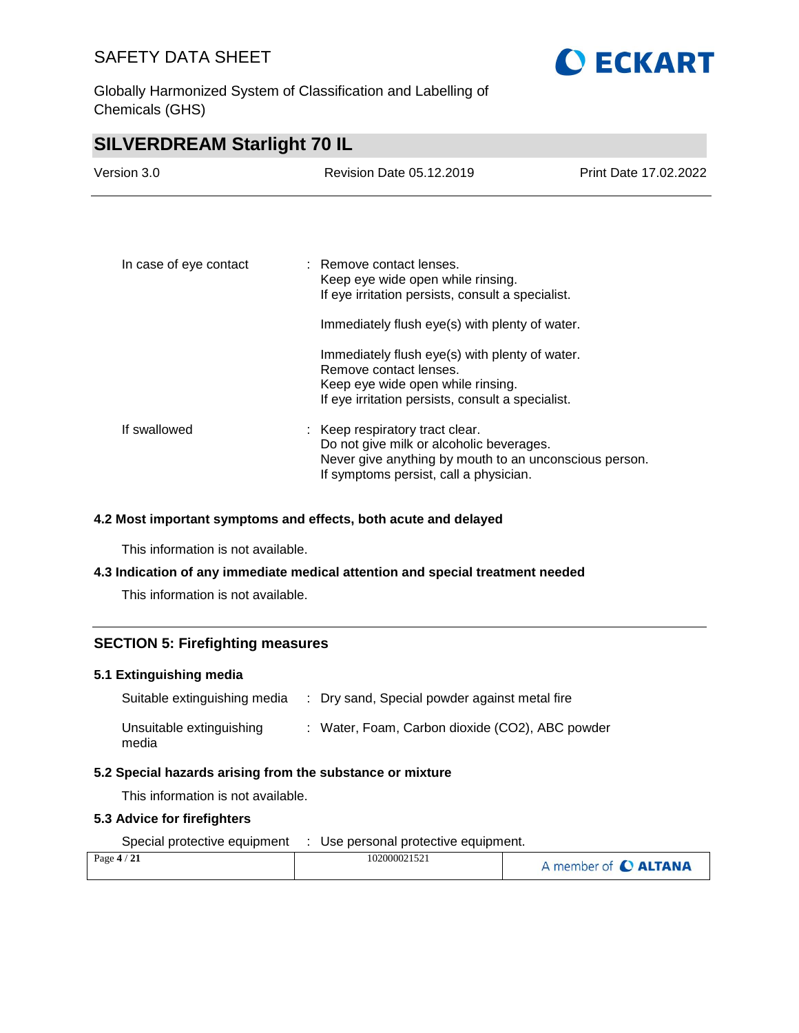**SILVERDREAM Starlight 70 IL**

Globally Harmonized System of Classification and Labelling of Chemicals (GHS)

**O ECKART** 

| <u>UILVLINDINLAIN UTAI IIIJIITTU IL</u> |                                                                                                                                                                                 |                       |
|-----------------------------------------|---------------------------------------------------------------------------------------------------------------------------------------------------------------------------------|-----------------------|
| Version 3.0                             | Revision Date 05.12.2019                                                                                                                                                        | Print Date 17.02.2022 |
|                                         |                                                                                                                                                                                 |                       |
| In case of eye contact                  | : Remove contact lenses.<br>Keep eye wide open while rinsing.<br>If eye irritation persists, consult a specialist.                                                              |                       |
|                                         | Immediately flush eye(s) with plenty of water.                                                                                                                                  |                       |
|                                         | Immediately flush eye(s) with plenty of water.<br>Remove contact lenses.<br>Keep eye wide open while rinsing.<br>If eye irritation persists, consult a specialist.              |                       |
| If swallowed                            | : Keep respiratory tract clear.<br>Do not give milk or alcoholic beverages.<br>Never give anything by mouth to an unconscious person.<br>If symptoms persist, call a physician. |                       |

### **4.2 Most important symptoms and effects, both acute and delayed**

This information is not available.

### **4.3 Indication of any immediate medical attention and special treatment needed**

This information is not available.

### **SECTION 5: Firefighting measures**

### **5.1 Extinguishing media**

| Suitable extinguishing media      | : Dry sand, Special powder against metal fire   |
|-----------------------------------|-------------------------------------------------|
| Unsuitable extinguishing<br>media | : Water, Foam, Carbon dioxide (CO2), ABC powder |

### **5.2 Special hazards arising from the substance or mixture**

This information is not available.

### **5.3 Advice for firefighters**

Special protective equipment : Use personal protective equipment.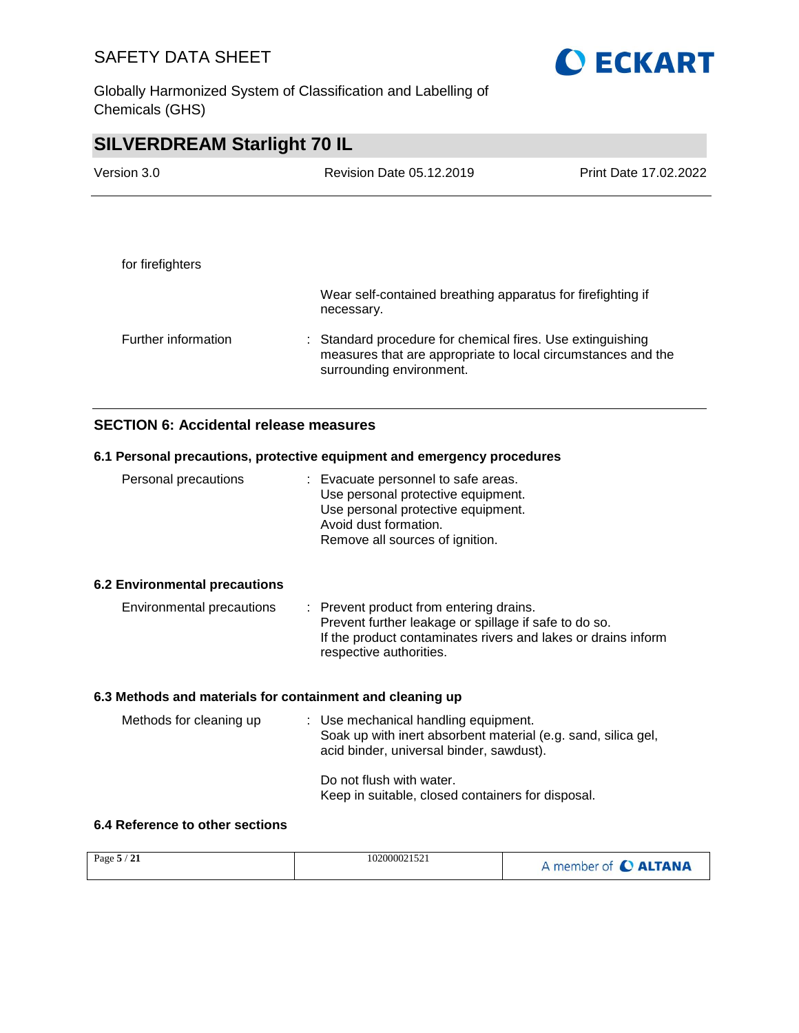Globally Harmonized System of Classification and Labelling of Chemicals (GHS)



### **SECTION 6: Accidental release measures**

### **6.1 Personal precautions, protective equipment and emergency procedures**

| Personal precautions                 | : Evacuate personnel to safe areas.<br>Use personal protective equipment.<br>Use personal protective equipment.<br>Avoid dust formation.<br>Remove all sources of ignition. |
|--------------------------------------|-----------------------------------------------------------------------------------------------------------------------------------------------------------------------------|
| <b>6.2 Environmental precautions</b> |                                                                                                                                                                             |

### Environmental precautions : Prevent product from entering drains. Prevent further leakage or spillage if safe to do so. If the product contaminates rivers and lakes or drains inform respective authorities.

### **6.3 Methods and materials for containment and cleaning up**

| Methods for cleaning up | : Use mechanical handling equipment.<br>Soak up with inert absorbent material (e.g. sand, silica gel,<br>acid binder, universal binder, sawdust). |
|-------------------------|---------------------------------------------------------------------------------------------------------------------------------------------------|
|                         | Do not flush with water.<br>Keep in suitable, closed containers for disposal.                                                                     |

### **6.4 Reference to other sections**

| Page $5/21$ | 102000021521 | A member of C ALTANA |
|-------------|--------------|----------------------|
|-------------|--------------|----------------------|

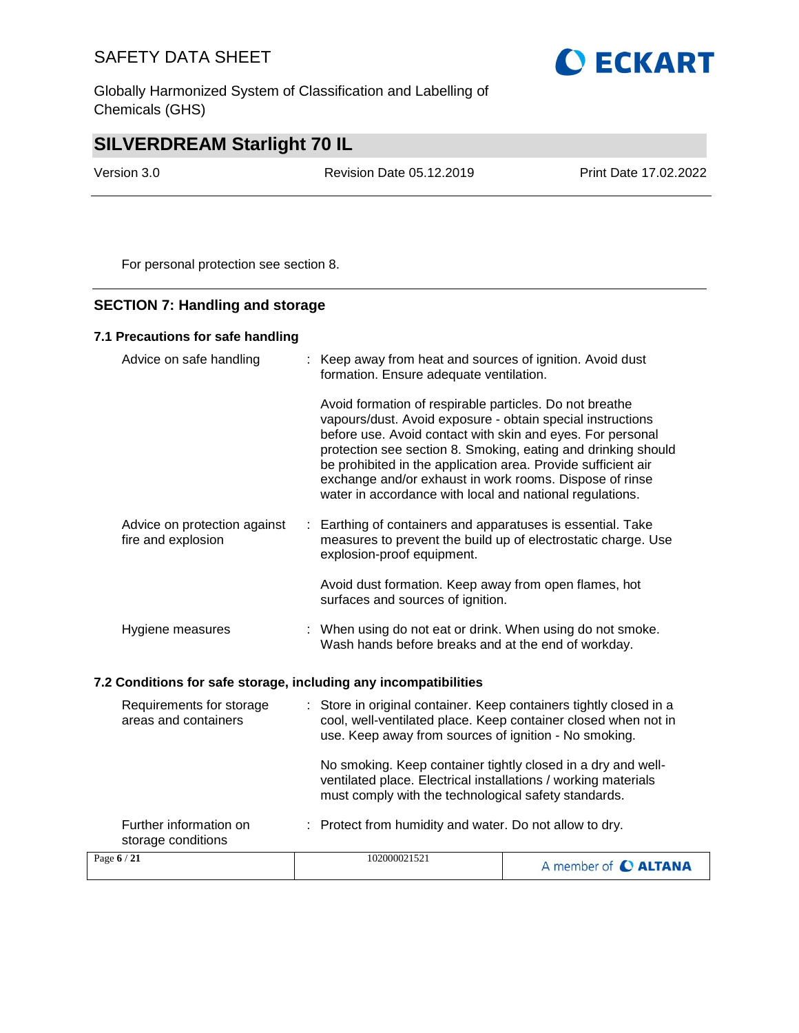Globally Harmonized System of Classification and Labelling of Chemicals (GHS)



## **SILVERDREAM Starlight 70 IL**

Version 3.0 Revision Date 05.12.2019 Print Date 17.02.2022

For personal protection see section 8.

### **SECTION 7: Handling and storage**

### **7.1 Precautions for safe handling**

| Advice on safe handling                                          |    | : Keep away from heat and sources of ignition. Avoid dust<br>formation. Ensure adequate ventilation.                                                                                                                                                                                                                                                                                                                                         |
|------------------------------------------------------------------|----|----------------------------------------------------------------------------------------------------------------------------------------------------------------------------------------------------------------------------------------------------------------------------------------------------------------------------------------------------------------------------------------------------------------------------------------------|
|                                                                  |    | Avoid formation of respirable particles. Do not breathe<br>vapours/dust. Avoid exposure - obtain special instructions<br>before use. Avoid contact with skin and eyes. For personal<br>protection see section 8. Smoking, eating and drinking should<br>be prohibited in the application area. Provide sufficient air<br>exchange and/or exhaust in work rooms. Dispose of rinse<br>water in accordance with local and national regulations. |
| Advice on protection against<br>fire and explosion               | ÷. | Earthing of containers and apparatuses is essential. Take<br>measures to prevent the build up of electrostatic charge. Use<br>explosion-proof equipment.                                                                                                                                                                                                                                                                                     |
|                                                                  |    | Avoid dust formation. Keep away from open flames, hot<br>surfaces and sources of ignition.                                                                                                                                                                                                                                                                                                                                                   |
| Hygiene measures                                                 |    | : When using do not eat or drink. When using do not smoke.<br>Wash hands before breaks and at the end of workday.                                                                                                                                                                                                                                                                                                                            |
| 7.2 Conditions for safe storage, including any incompatibilities |    |                                                                                                                                                                                                                                                                                                                                                                                                                                              |
| Requirements for storage<br>areas and containers                 |    | : Store in original container. Keep containers tightly closed in a<br>cool, well-ventilated place. Keep container closed when not in<br>use. Keep away from sources of ignition - No smoking.                                                                                                                                                                                                                                                |

No smoking. Keep container tightly closed in a dry and wellventilated place. Electrical installations / working materials must comply with the technological safety standards.

| Further information on<br>storage conditions | : Protect from humidity and water. Do not allow to dry. |                      |  |
|----------------------------------------------|---------------------------------------------------------|----------------------|--|
| Page $6/21$                                  | 102000021521                                            | A member of C ALTANA |  |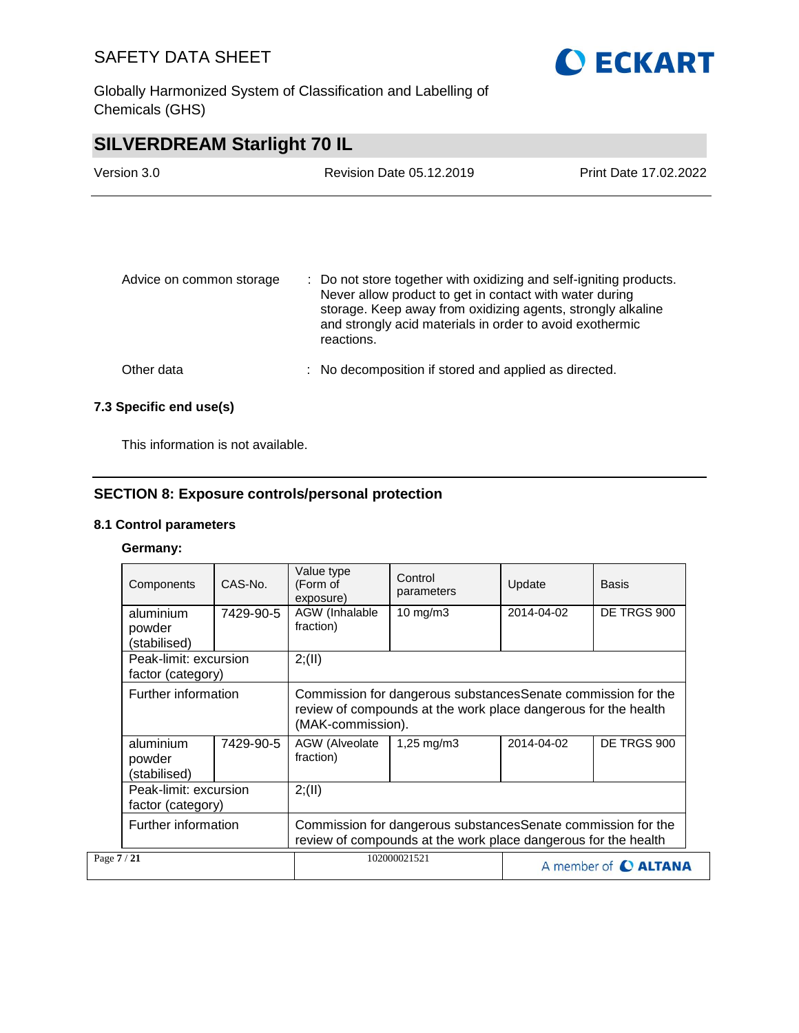Globally Harmonized System of Classification and Labelling of Chemicals (GHS)





### **7.3 Specific end use(s)**

This information is not available.

### **SECTION 8: Exposure controls/personal protection**

### **8.1 Control parameters**

### **Germany:**

| Components                                 | CAS-No.   | Value type<br>(Form of<br>exposure)                                                                                                                  | Control<br>parameters   | Update     | <b>Basis</b>         |
|--------------------------------------------|-----------|------------------------------------------------------------------------------------------------------------------------------------------------------|-------------------------|------------|----------------------|
| aluminium<br>powder<br>(stabilised)        | 7429-90-5 | AGW (Inhalable<br>fraction)                                                                                                                          | 10 $mg/m3$              | 2014-04-02 | DE TRGS 900          |
| Peak-limit: excursion<br>factor (category) |           | 2; (II)                                                                                                                                              |                         |            |                      |
| Further information                        |           | Commission for dangerous substances Senate commission for the<br>review of compounds at the work place dangerous for the health<br>(MAK-commission). |                         |            |                      |
| aluminium<br>powder<br>(stabilised)        | 7429-90-5 | AGW (Alveolate<br>fraction)                                                                                                                          | $1,25 \,\mathrm{mq/m3}$ | 2014-04-02 | DE TRGS 900          |
| Peak-limit: excursion<br>factor (category) |           | 2; (II)                                                                                                                                              |                         |            |                      |
| Further information                        |           | Commission for dangerous substances Senate commission for the<br>review of compounds at the work place dangerous for the health                      |                         |            |                      |
| Page 7 / 21                                |           |                                                                                                                                                      | 102000021521            |            | A member of C ALTANA |

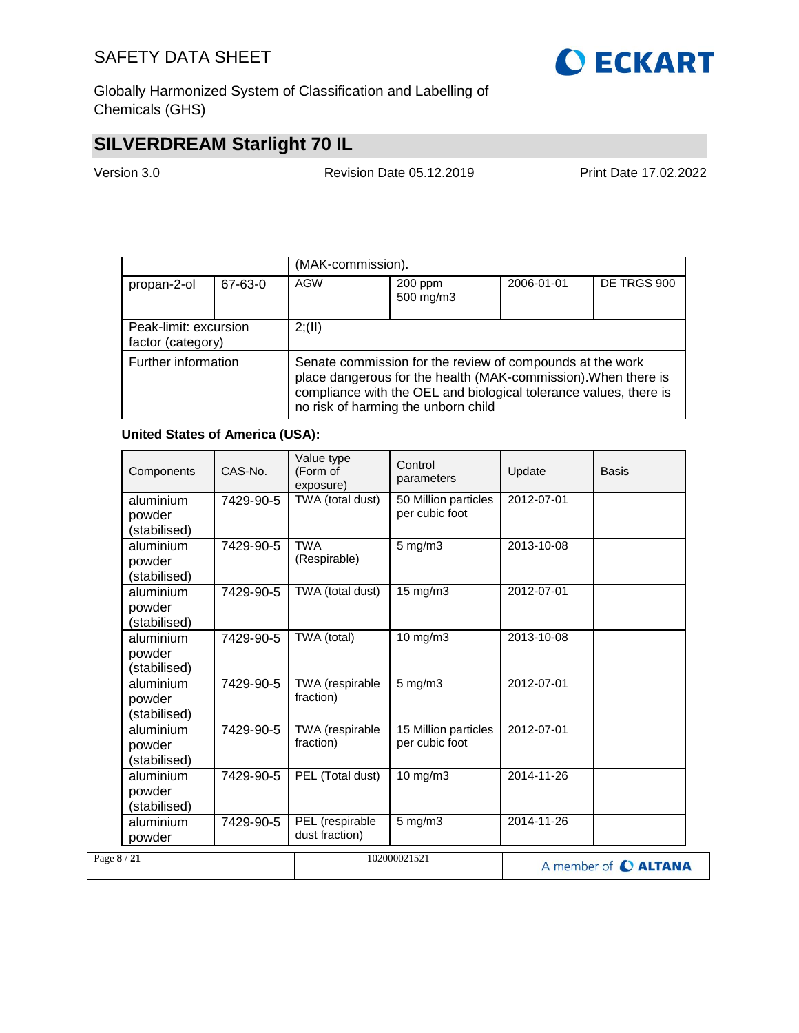

Globally Harmonized System of Classification and Labelling of Chemicals (GHS)

## **SILVERDREAM Starlight 70 IL**

Version 3.0 Revision Date 05.12.2019 Print Date 17.02.2022

|                                                                                                                                                                                                                                                                |         | (MAK-commission). |                      |            |             |
|----------------------------------------------------------------------------------------------------------------------------------------------------------------------------------------------------------------------------------------------------------------|---------|-------------------|----------------------|------------|-------------|
| propan-2-ol                                                                                                                                                                                                                                                    | 67-63-0 | AGW               | 200 ppm<br>500 mg/m3 | 2006-01-01 | DE TRGS 900 |
| Peak-limit: excursion<br>factor (category)                                                                                                                                                                                                                     | 2; (II) |                   |                      |            |             |
| Further information<br>Senate commission for the review of compounds at the work<br>place dangerous for the health (MAK-commission). When there is<br>compliance with the OEL and biological tolerance values, there is<br>no risk of harming the unborn child |         |                   |                      |            |             |

### **United States of America (USA):**

| Components                          | CAS-No.   | Value type<br>(Form of<br>exposure) | Control<br>parameters                  | Update     | <b>Basis</b>         |
|-------------------------------------|-----------|-------------------------------------|----------------------------------------|------------|----------------------|
| aluminium<br>powder<br>(stabilised) | 7429-90-5 | TWA (total dust)                    | 50 Million particles<br>per cubic foot | 2012-07-01 |                      |
| aluminium<br>powder<br>(stabilised) | 7429-90-5 | <b>TWA</b><br>(Respirable)          | 5 mg/m3                                | 2013-10-08 |                      |
| aluminium<br>powder<br>(stabilised) | 7429-90-5 | TWA (total dust)                    | 15 mg/m3                               | 2012-07-01 |                      |
| aluminium<br>powder<br>(stabilised) | 7429-90-5 | TWA (total)                         | 10 mg/m3                               | 2013-10-08 |                      |
| aluminium<br>powder<br>(stabilised) | 7429-90-5 | TWA (respirable<br>fraction)        | $5$ mg/m $3$                           | 2012-07-01 |                      |
| aluminium<br>powder<br>(stabilised) | 7429-90-5 | TWA (respirable<br>fraction)        | 15 Million particles<br>per cubic foot | 2012-07-01 |                      |
| aluminium<br>powder<br>(stabilised) | 7429-90-5 | PEL (Total dust)                    | 10 mg/m3                               | 2014-11-26 |                      |
| aluminium<br>powder                 | 7429-90-5 | PEL (respirable<br>dust fraction)   | $5$ mg/m $3$                           | 2014-11-26 |                      |
| Page 8 / 21                         |           |                                     | 102000021521                           |            | A member of C ALTANA |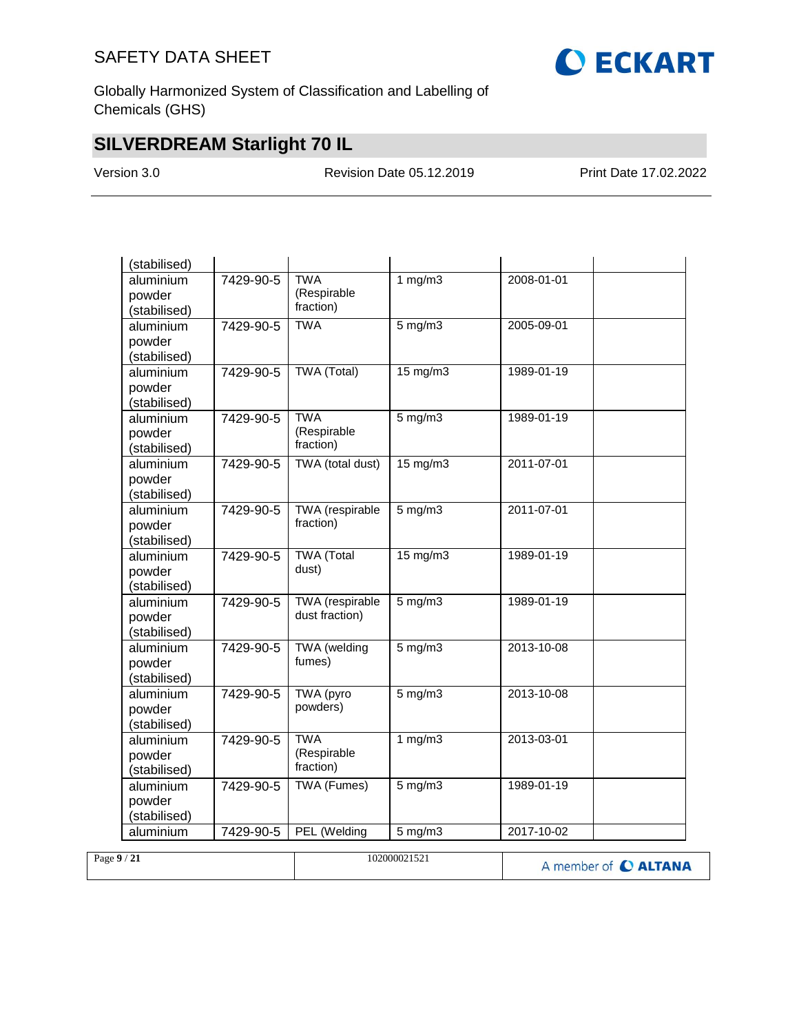

Globally Harmonized System of Classification and Labelling of Chemicals (GHS)

## **SILVERDREAM Starlight 70 IL**

Version 3.0 Revision Date 05.12.2019 Print Date 17.02.2022

| (stabilised) |           |                     |                   |                  |  |
|--------------|-----------|---------------------|-------------------|------------------|--|
| aluminium    | 7429-90-5 | <b>TWA</b>          | 1 $mg/m3$         | $2008 - 01 - 01$ |  |
| powder       |           | (Respirable         |                   |                  |  |
| (stabilised) |           | fraction)           |                   |                  |  |
| aluminium    | 7429-90-5 | <b>TWA</b>          | $5$ mg/m $3$      | 2005-09-01       |  |
| powder       |           |                     |                   |                  |  |
| (stabilised) |           |                     |                   |                  |  |
| aluminium    | 7429-90-5 | <b>TWA (Total)</b>  | $15 \text{ mg/m}$ | 1989-01-19       |  |
| powder       |           |                     |                   |                  |  |
| (stabilised) |           |                     |                   |                  |  |
| aluminium    | 7429-90-5 | <b>TWA</b>          | $5$ mg/m $3$      | 1989-01-19       |  |
| powder       |           | (Respirable         |                   |                  |  |
| (stabilised) |           | fraction)           |                   |                  |  |
| aluminium    | 7429-90-5 | TWA (total dust)    | $15 \text{ mg/m}$ | 2011-07-01       |  |
| powder       |           |                     |                   |                  |  |
| (stabilised) |           |                     |                   |                  |  |
| aluminium    | 7429-90-5 | TWA (respirable     | $5$ mg/m $3$      | 2011-07-01       |  |
| powder       |           | fraction)           |                   |                  |  |
| (stabilised) |           |                     |                   |                  |  |
| aluminium    | 7429-90-5 | <b>TWA</b> (Total   | 15 mg/m3          | 1989-01-19       |  |
| powder       |           | dust)               |                   |                  |  |
| (stabilised) |           |                     |                   |                  |  |
| aluminium    | 7429-90-5 | TWA (respirable     | $5$ mg/m $3$      | 1989-01-19       |  |
| powder       |           | dust fraction)      |                   |                  |  |
| (stabilised) |           |                     |                   |                  |  |
| aluminium    | 7429-90-5 | <b>TWA</b> (welding | $5$ mg/m $3$      | 2013-10-08       |  |
| powder       |           | fumes)              |                   |                  |  |
| (stabilised) |           |                     |                   |                  |  |
| aluminium    | 7429-90-5 | TWA (pyro           | $5$ mg/m $3$      | 2013-10-08       |  |
| powder       |           | powders)            |                   |                  |  |
| (stabilised) |           |                     |                   |                  |  |
| aluminium    | 7429-90-5 | <b>TWA</b>          | 1 $mg/m3$         | 2013-03-01       |  |
| powder       |           | (Respirable         |                   |                  |  |
| (stabilised) |           | fraction)           |                   |                  |  |
| aluminium    | 7429-90-5 | <b>TWA (Fumes)</b>  | $5$ mg/m $3$      | 1989-01-19       |  |
| powder       |           |                     |                   |                  |  |
| (stabilised) |           |                     |                   |                  |  |
| aluminium    | 7429-90-5 | PEL (Welding        | $5$ mg/m $3$      | 2017-10-02       |  |
|              |           |                     |                   |                  |  |

| Page $9/21$ | 102000021521 | A member of C ALTANA |
|-------------|--------------|----------------------|
|             |              |                      |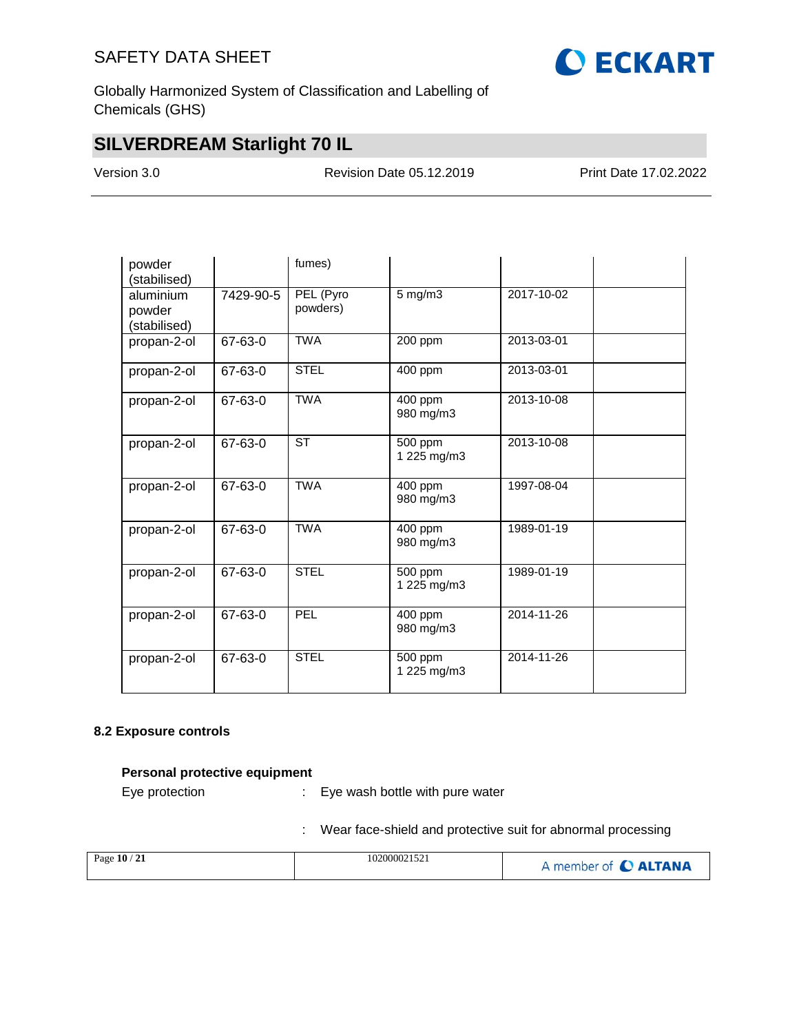

Globally Harmonized System of Classification and Labelling of Chemicals (GHS)

## **SILVERDREAM Starlight 70 IL**

Version 3.0 Revision Date 05.12.2019 Print Date 17.02.2022

| powder<br>(stabilised)              |           | fumes)                 |                        |            |  |
|-------------------------------------|-----------|------------------------|------------------------|------------|--|
| aluminium<br>powder<br>(stabilised) | 7429-90-5 | PEL (Pyro<br>powders)  | $5$ mg/m $3$           | 2017-10-02 |  |
| propan-2-ol                         | 67-63-0   | <b>TWA</b>             | 200 ppm                | 2013-03-01 |  |
| propan-2-ol                         | 67-63-0   | <b>STEL</b>            | 400 ppm                | 2013-03-01 |  |
| propan-2-ol                         | 67-63-0   | <b>TWA</b>             | 400 ppm<br>980 mg/m3   | 2013-10-08 |  |
| propan-2-ol                         | 67-63-0   | $\overline{\text{ST}}$ | 500 ppm<br>1 225 mg/m3 | 2013-10-08 |  |
| propan-2-ol                         | 67-63-0   | <b>TWA</b>             | 400 ppm<br>980 mg/m3   | 1997-08-04 |  |
| propan-2-ol                         | 67-63-0   | <b>TWA</b>             | 400 ppm<br>980 mg/m3   | 1989-01-19 |  |
| propan-2-ol                         | 67-63-0   | <b>STEL</b>            | 500 ppm<br>1 225 mg/m3 | 1989-01-19 |  |
| propan-2-ol                         | 67-63-0   | <b>PEL</b>             | 400 ppm<br>980 mg/m3   | 2014-11-26 |  |
| propan-2-ol                         | 67-63-0   | <b>STEL</b>            | 500 ppm<br>1 225 mg/m3 | 2014-11-26 |  |

### **8.2 Exposure controls**

### **Personal protective equipment**

Eye protection : Eye wash bottle with pure water

: Wear face-shield and protective suit for abnormal processing

| Page 10 / 21 | 102000021521 | A member of C ALTANA |
|--------------|--------------|----------------------|
|              |              |                      |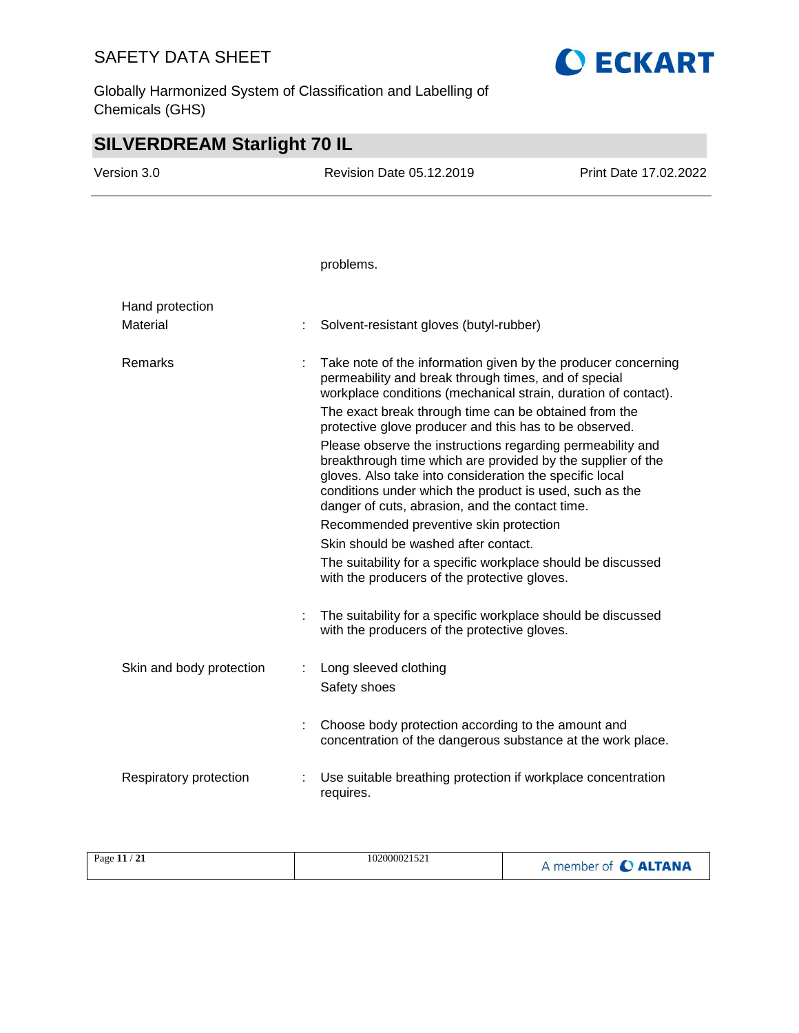Globally Harmonized System of Classification and Labelling of Chemicals (GHS)

## **SILVERDREAM Starlight 70 IL** Version 3.0 Revision Date 05.12.2019 Print Date 17.02.2022 problems. Hand protection Material : Solvent-resistant gloves (butyl-rubber) Remarks : Take note of the information given by the producer concerning permeability and break through times, and of special workplace conditions (mechanical strain, duration of contact). The exact break through time can be obtained from the protective glove producer and this has to be observed. Please observe the instructions regarding permeability and breakthrough time which are provided by the supplier of the gloves. Also take into consideration the specific local conditions under which the product is used, such as the danger of cuts, abrasion, and the contact time. Recommended preventive skin protection Skin should be washed after contact. The suitability for a specific workplace should be discussed with the producers of the protective gloves. : The suitability for a specific workplace should be discussed with the producers of the protective gloves. Skin and body protection : Long sleeved clothing Safety shoes : Choose body protection according to the amount and concentration of the dangerous substance at the work place. Respiratory protection : Use suitable breathing protection if workplace concentration requires.

**O ECKART** 

| 102000021521<br>Page 11 / 21 | A member of C ALTANA |
|------------------------------|----------------------|
|------------------------------|----------------------|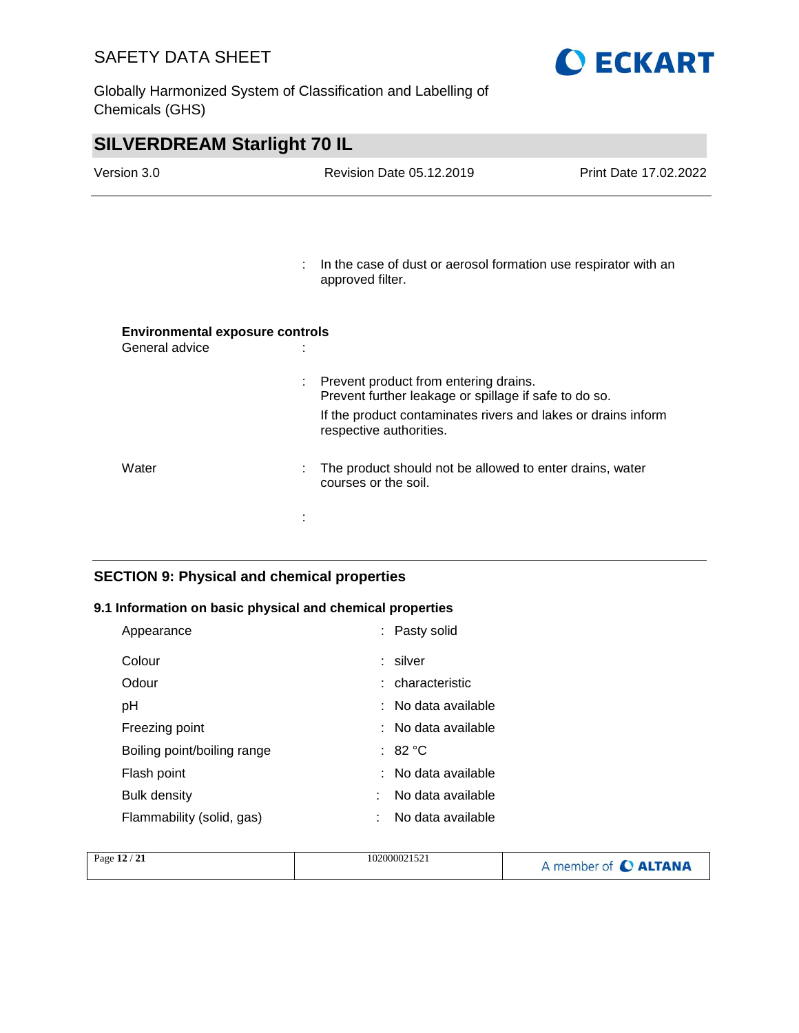Globally Harmonized System of Classification and Labelling of Chemicals (GHS)



**O ECKART** 

### **SECTION 9: Physical and chemical properties**

### **9.1 Information on basic physical and chemical properties**

| Appearance                  | : Pasty solid          |
|-----------------------------|------------------------|
| Colour                      | : silver               |
| Odour                       | : characteristic       |
| рH                          | : No data available    |
| Freezing point              | : No data available    |
| Boiling point/boiling range | : 82 $^{\circ}$ C      |
| Flash point                 | : No data available    |
| <b>Bulk density</b>         | No data available<br>٠ |
| Flammability (solid, gas)   | No data available<br>٠ |

| Page 12 / 21 | 102000021521 | A member of C ALTANA |
|--------------|--------------|----------------------|
|              |              |                      |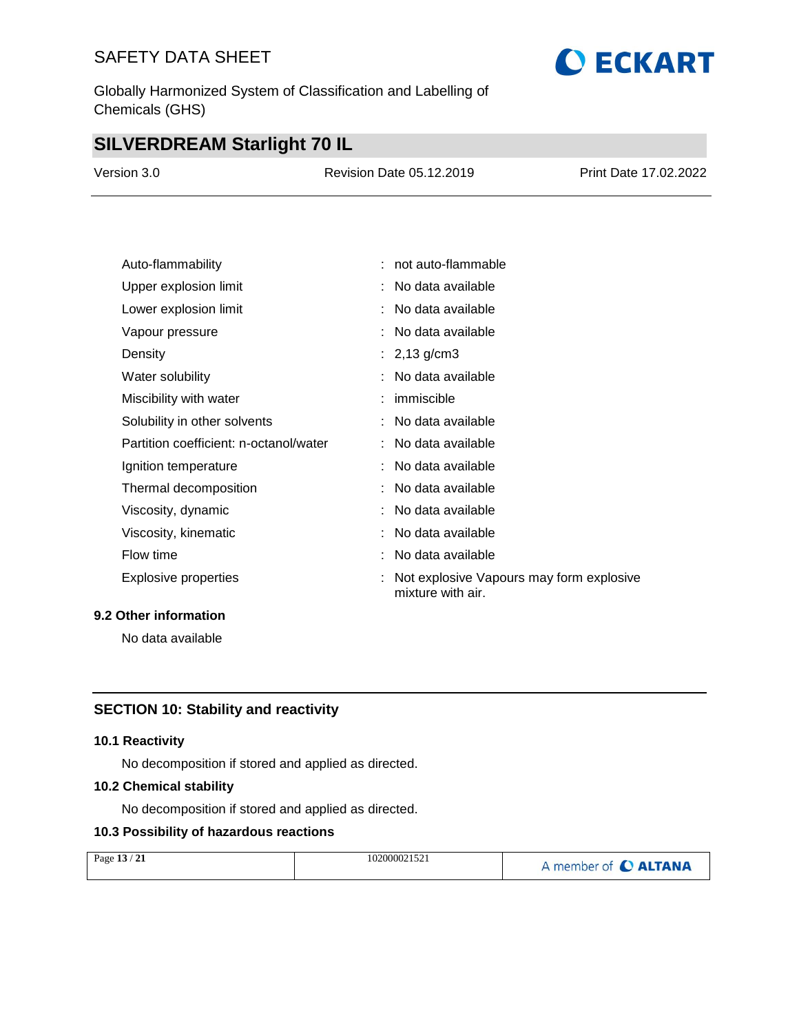Globally Harmonized System of Classification and Labelling of Chemicals (GHS)

## **SILVERDREAM Starlight 70 IL**

| Version 3.0 | <b>Revision Date 05.12.2019</b> | <b>Print Date 17.02.2022</b> |
|-------------|---------------------------------|------------------------------|
|             |                                 |                              |

| Auto-flammability                      | : not auto-flammable                                          |
|----------------------------------------|---------------------------------------------------------------|
| Upper explosion limit                  | : No data available                                           |
| Lower explosion limit                  | No data available                                             |
| Vapour pressure                        | : No data available                                           |
| Density                                | : $2,13$ g/cm3                                                |
| Water solubility                       | : No data available                                           |
| Miscibility with water                 | $:$ immiscible                                                |
| Solubility in other solvents           | : No data available                                           |
| Partition coefficient: n-octanol/water | : No data available                                           |
| Ignition temperature                   | : No data available                                           |
| Thermal decomposition                  | : No data available                                           |
| Viscosity, dynamic                     | No data available                                             |
| Viscosity, kinematic                   | No data available                                             |
| Flow time                              | No data available                                             |
| Explosive properties                   | Not explosive Vapours may form explosive<br>mixture with air. |

### **9.2 Other information**

No data available

## **SECTION 10: Stability and reactivity**

### **10.1 Reactivity**

No decomposition if stored and applied as directed.

### **10.2 Chemical stability**

No decomposition if stored and applied as directed.

### **10.3 Possibility of hazardous reactions**

| Page 13 / 21 | 102000021521 | A member of C ALTANA |
|--------------|--------------|----------------------|
|              |              |                      |

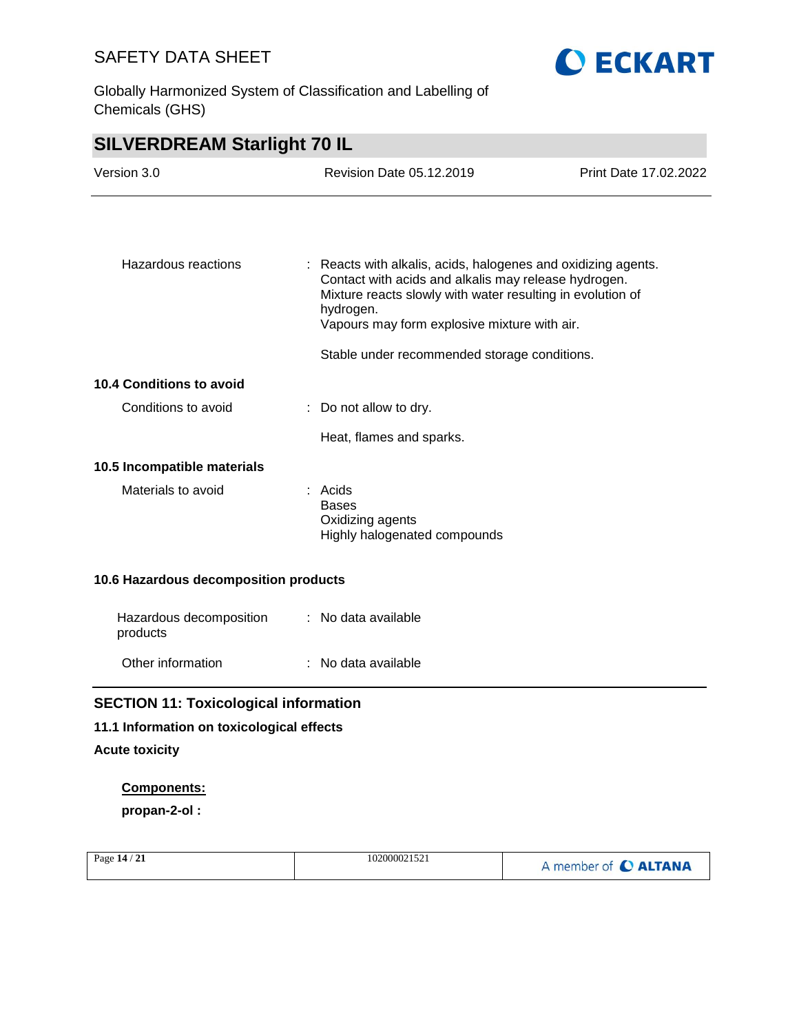Globally Harmonized System of Classification and Labelling of Chemicals (GHS)



| Hazardous reactions             | : Reacts with alkalis, acids, halogenes and oxidizing agents.<br>Contact with acids and alkalis may release hydrogen.<br>Mixture reacts slowly with water resulting in evolution of<br>hydrogen.<br>Vapours may form explosive mixture with air. |
|---------------------------------|--------------------------------------------------------------------------------------------------------------------------------------------------------------------------------------------------------------------------------------------------|
|                                 | Stable under recommended storage conditions.                                                                                                                                                                                                     |
| <b>10.4 Conditions to avoid</b> |                                                                                                                                                                                                                                                  |
| Conditions to avoid             | $\therefore$ Do not allow to dry.                                                                                                                                                                                                                |
|                                 | Heat, flames and sparks.                                                                                                                                                                                                                         |
| 10.5 Incompatible materials     |                                                                                                                                                                                                                                                  |
| Materials to avoid              | : Acids<br><b>Bases</b><br>Oxidizing agents<br>Highly halogenated compounds                                                                                                                                                                      |

### **10.6 Hazardous decomposition products**

| Hazardous decomposition<br>products | : No data available |
|-------------------------------------|---------------------|
| Other information                   | : No data available |

## **SECTION 11: Toxicological information**

### **11.1 Information on toxicological effects**

### **Acute toxicity**

### **Components:**

**propan-2-ol :**

| Page $14/21$ | 102000021521 | A member of C ALTANA |
|--------------|--------------|----------------------|
|              |              |                      |

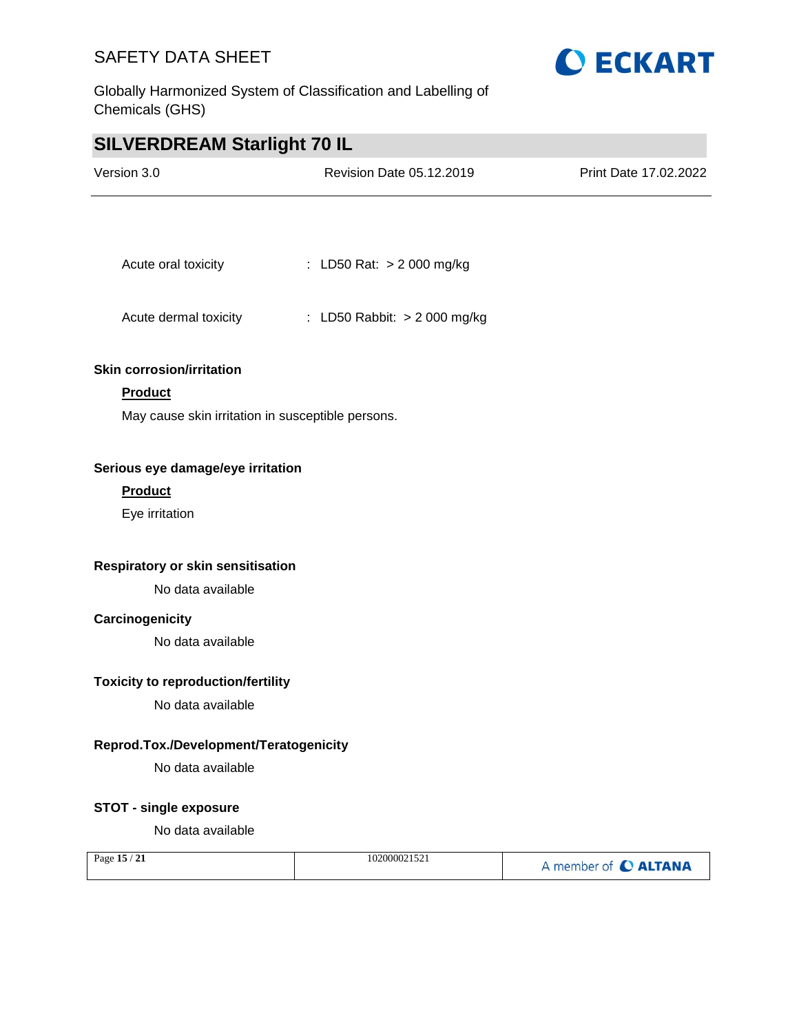Globally Harmonized System of Classification and Labelling of Chemicals (GHS)



## **SILVERDREAM Starlight 70 IL**

| Version 3.0                                       | Revision Date 05.12.2019     | Print Date 17.02.2022 |
|---------------------------------------------------|------------------------------|-----------------------|
|                                                   |                              |                       |
| Acute oral toxicity                               | : LD50 Rat: > 2 000 mg/kg    |                       |
| Acute dermal toxicity                             | : LD50 Rabbit: > 2 000 mg/kg |                       |
| <b>Skin corrosion/irritation</b>                  |                              |                       |
| <b>Product</b>                                    |                              |                       |
| May cause skin irritation in susceptible persons. |                              |                       |
| Serious eye damage/eye irritation                 |                              |                       |
| <b>Product</b>                                    |                              |                       |
| Eye irritation                                    |                              |                       |
|                                                   |                              |                       |
| Respiratory or skin sensitisation                 |                              |                       |
| No data available                                 |                              |                       |
| Carcinogenicity                                   |                              |                       |
| No data available                                 |                              |                       |
| <b>Toxicity to reproduction/fertility</b>         |                              |                       |
| No data available                                 |                              |                       |
| Reprod.Tox./Development/Teratogenicity            |                              |                       |
| No data available                                 |                              |                       |
| <b>STOT - single exposure</b>                     |                              |                       |
| No data available                                 |                              |                       |
| Page 15 / 21                                      | 102000021521                 | A member of C ALTANA  |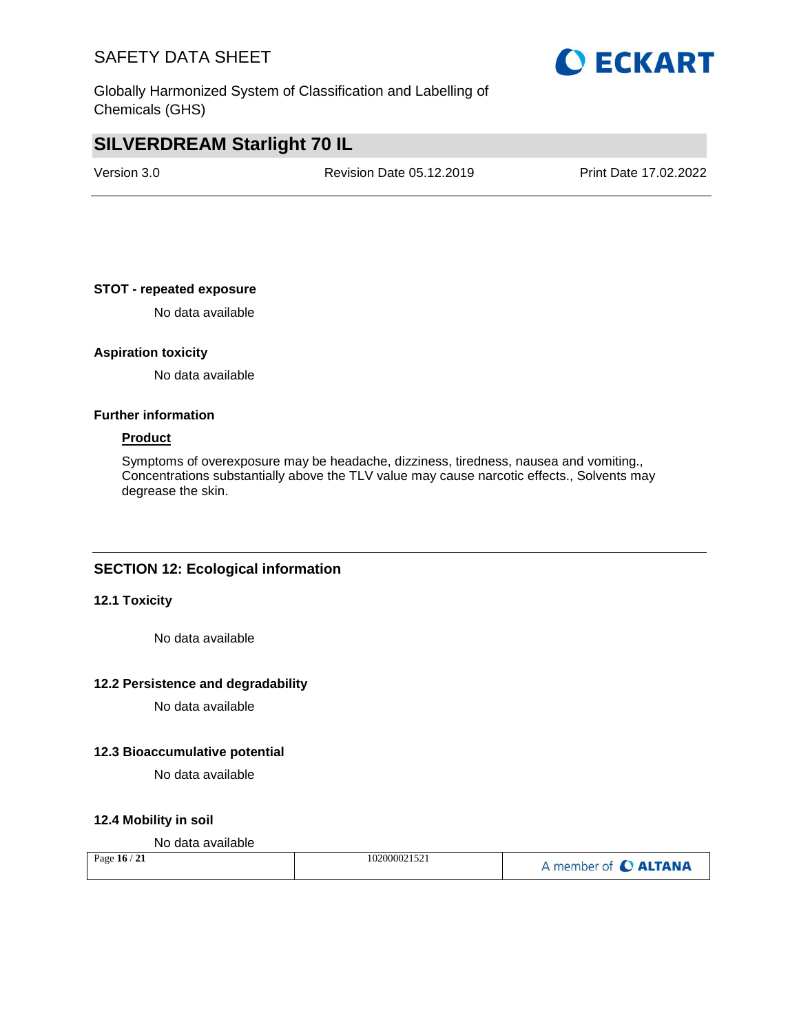Globally Harmonized System of Classification and Labelling of Chemicals (GHS)

## **SILVERDREAM Starlight 70 IL**

Version 3.0 Revision Date 05.12.2019 Print Date 17.02.2022

### **STOT - repeated exposure**

No data available

### **Aspiration toxicity**

No data available

### **Further information**

### **Product**

Symptoms of overexposure may be headache, dizziness, tiredness, nausea and vomiting., Concentrations substantially above the TLV value may cause narcotic effects., Solvents may degrease the skin.

### **SECTION 12: Ecological information**

### **12.1 Toxicity**

No data available

### **12.2 Persistence and degradability**

No data available

### **12.3 Bioaccumulative potential**

No data available

### **12.4 Mobility in soil**

### No data available

| Page $16/21$ | 102000021521 | A member of C ALTANA |
|--------------|--------------|----------------------|
|--------------|--------------|----------------------|

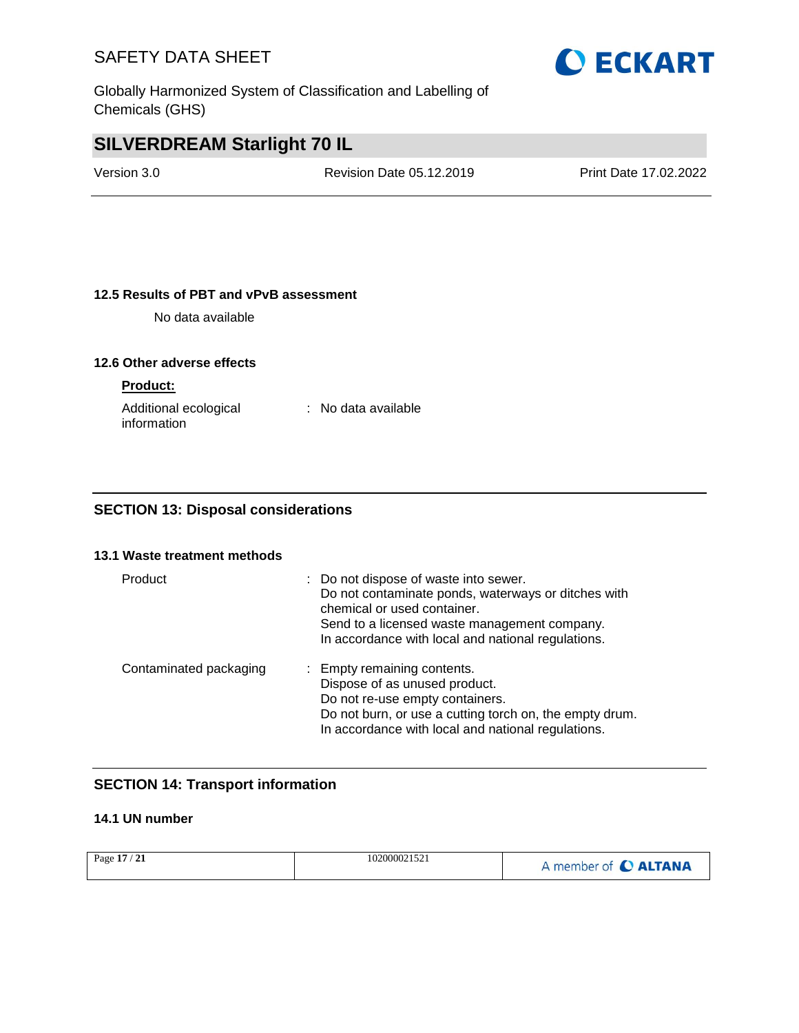Globally Harmonized System of Classification and Labelling of Chemicals (GHS)

# **O ECKART**

## **SILVERDREAM Starlight 70 IL**

Version 3.0 Revision Date 05.12.2019 Print Date 17.02.2022

### **12.5 Results of PBT and vPvB assessment**

No data available

### **12.6 Other adverse effects**

### **Product:**

| Additional ecological | : No data available |
|-----------------------|---------------------|
| information           |                     |

### **SECTION 13: Disposal considerations**

### **13.1 Waste treatment methods**

| Product                | : Do not dispose of waste into sewer.<br>Do not contaminate ponds, waterways or ditches with<br>chemical or used container.<br>Send to a licensed waste management company.<br>In accordance with local and national regulations. |
|------------------------|-----------------------------------------------------------------------------------------------------------------------------------------------------------------------------------------------------------------------------------|
| Contaminated packaging | : Empty remaining contents.<br>Dispose of as unused product.<br>Do not re-use empty containers.<br>Do not burn, or use a cutting torch on, the empty drum.<br>In accordance with local and national regulations.                  |

### **SECTION 14: Transport information**

### **14.1 UN number**

| Page 17 / 21 | 102000021521 | A member of C ALTANA |
|--------------|--------------|----------------------|
|--------------|--------------|----------------------|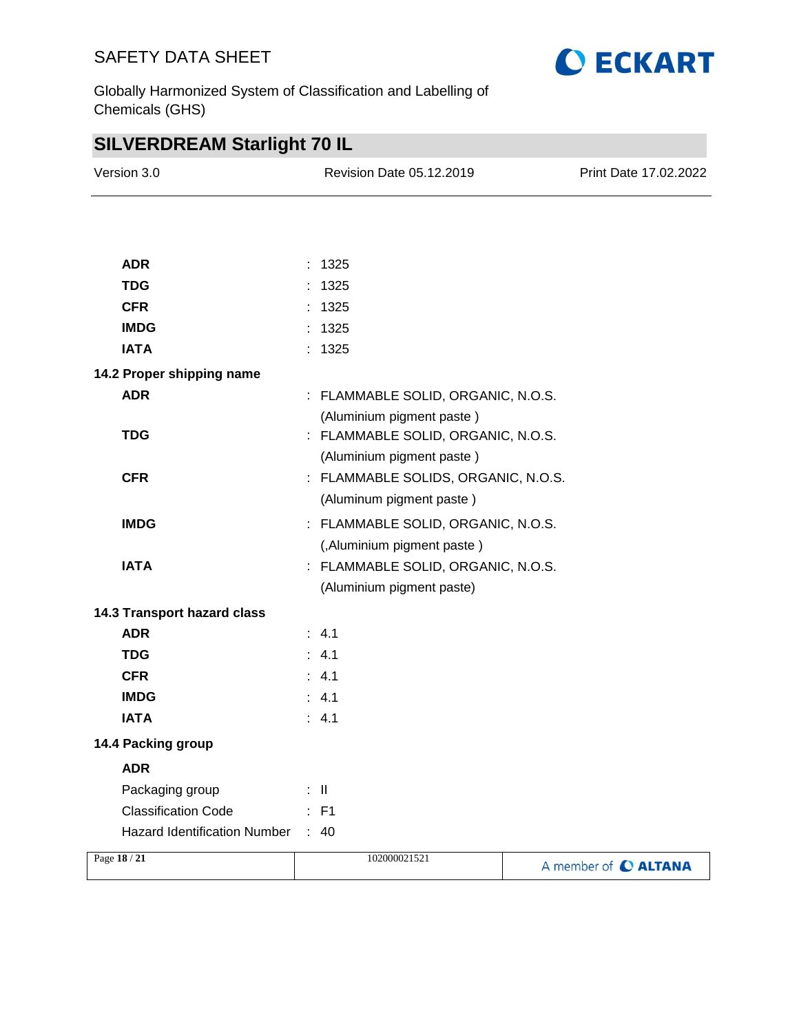

Globally Harmonized System of Classification and Labelling of Chemicals (GHS)

| <b>SILVERDREAM Starlight 70 IL</b>  |  |                                     |                       |
|-------------------------------------|--|-------------------------------------|-----------------------|
| Version 3.0                         |  | Revision Date 05.12.2019            | Print Date 17.02.2022 |
|                                     |  |                                     |                       |
|                                     |  |                                     |                       |
| <b>ADR</b>                          |  | : 1325                              |                       |
| <b>TDG</b>                          |  | 1325                                |                       |
| <b>CFR</b>                          |  | : 1325                              |                       |
| <b>IMDG</b>                         |  | 1325                                |                       |
| <b>IATA</b>                         |  | 1325                                |                       |
| 14.2 Proper shipping name           |  |                                     |                       |
| <b>ADR</b>                          |  | : FLAMMABLE SOLID, ORGANIC, N.O.S.  |                       |
|                                     |  | (Aluminium pigment paste)           |                       |
| <b>TDG</b>                          |  | : FLAMMABLE SOLID, ORGANIC, N.O.S.  |                       |
|                                     |  | (Aluminium pigment paste)           |                       |
| <b>CFR</b>                          |  | : FLAMMABLE SOLIDS, ORGANIC, N.O.S. |                       |
|                                     |  | (Aluminum pigment paste)            |                       |
| <b>IMDG</b>                         |  | : FLAMMABLE SOLID, ORGANIC, N.O.S.  |                       |
|                                     |  | (,Aluminium pigment paste)          |                       |
| <b>IATA</b>                         |  | : FLAMMABLE SOLID, ORGANIC, N.O.S.  |                       |
|                                     |  | (Aluminium pigment paste)           |                       |
| 14.3 Transport hazard class         |  |                                     |                       |
| <b>ADR</b>                          |  | : 4.1                               |                       |
| <b>TDG</b>                          |  | : 4.1                               |                       |
| <b>CFR</b>                          |  | : 4.1                               |                       |
| <b>IMDG</b>                         |  | : 4.1                               |                       |
| <b>IATA</b>                         |  | : 4.1                               |                       |
| 14.4 Packing group                  |  |                                     |                       |
| <b>ADR</b>                          |  |                                     |                       |
| Packaging group                     |  | $\mathbb{R}^n$                      |                       |
| <b>Classification Code</b>          |  | $\therefore$ F1                     |                       |
| <b>Hazard Identification Number</b> |  | $\therefore$ 40                     |                       |
| Page 18 / 21                        |  | 102000021521                        | A member of C ALTANA  |
|                                     |  |                                     |                       |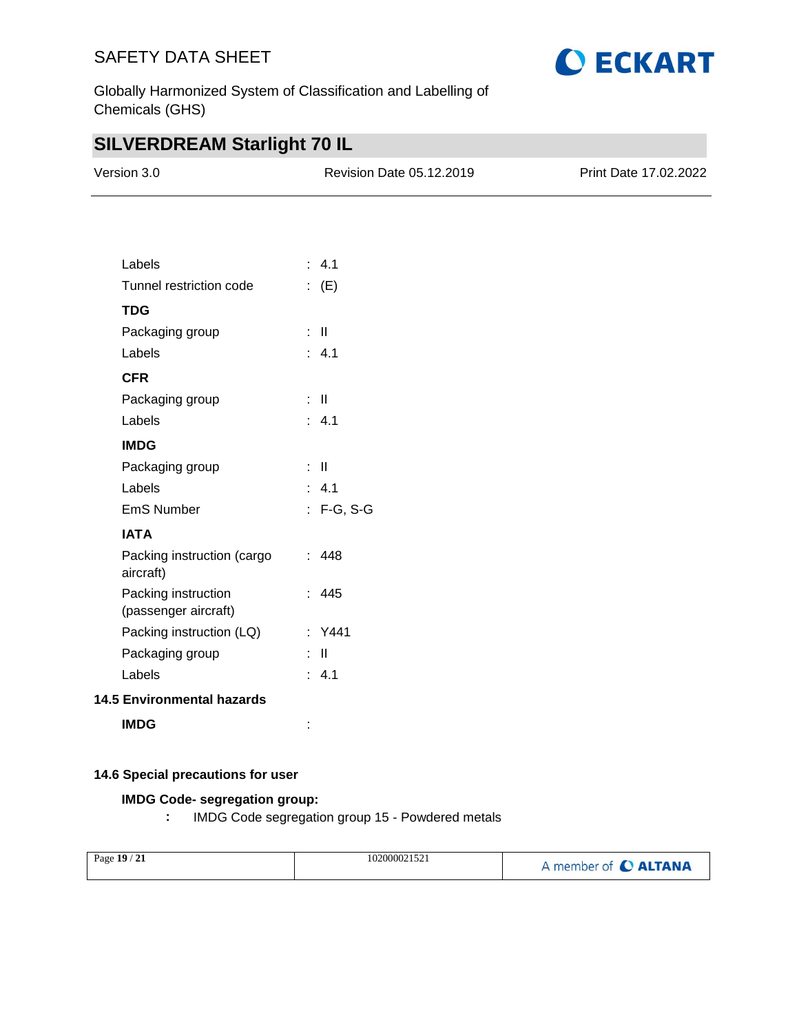

Globally Harmonized System of Classification and Labelling of Chemicals (GHS)

## **SILVERDREAM Starlight 70 IL**

| Version 3.0 | <b>Revision Date 05.12.2019</b> | <b>Print Date 17.02.2022</b> |
|-------------|---------------------------------|------------------------------|
|             |                                 |                              |

| Labels                                      | : 4.1        |
|---------------------------------------------|--------------|
| Tunnel restriction code                     | $\colon$ (E) |
| <b>TDG</b>                                  |              |
| Packaging group                             | : II         |
| Labels                                      | : 4.1        |
| <b>CFR</b>                                  |              |
| Packaging group                             | : II         |
| Labels                                      | : 4.1        |
| <b>IMDG</b>                                 |              |
| Packaging group                             | : II         |
| Labels                                      | : 4.1        |
| <b>EmS Number</b>                           | : F-G, S-G   |
| <b>IATA</b>                                 |              |
| Packing instruction (cargo<br>aircraft)     | : 448        |
| Packing instruction<br>(passenger aircraft) | : 445        |
| Packing instruction (LQ)                    | : Y441       |
| Packaging group                             | Ш            |
| Labels                                      | : 4.1        |
| <b>14.5 Environmental hazards</b>           |              |

**IMDG** :

### **14.6 Special precautions for user**

### **IMDG Code- segregation group:**

**:** IMDG Code segregation group 15 - Powdered metals

| Page 19 / 21 | 102000021521 | A member of C ALTANA |
|--------------|--------------|----------------------|
|              |              |                      |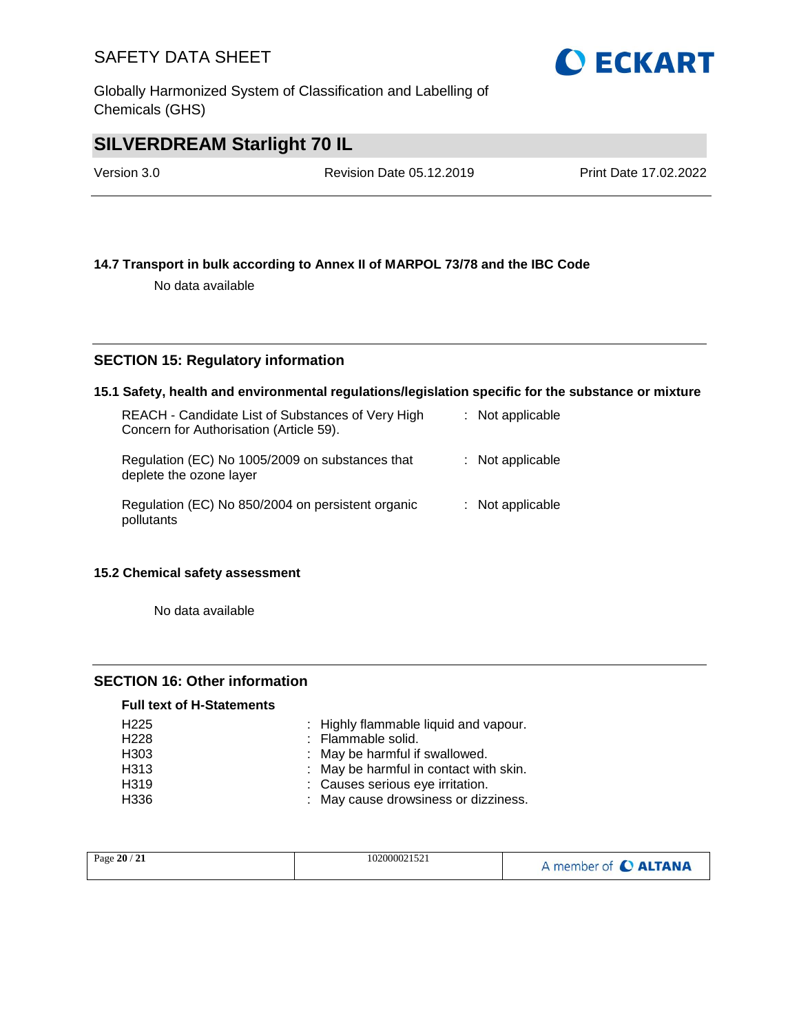Globally Harmonized System of Classification and Labelling of Chemicals (GHS)

## **SILVERDREAM Starlight 70 IL**

Version 3.0 Revision Date 05.12.2019 Print Date 17.02.2022

### **14.7 Transport in bulk according to Annex II of MARPOL 73/78 and the IBC Code**

No data available

### **SECTION 15: Regulatory information**

### **15.1 Safety, health and environmental regulations/legislation specific for the substance or mixture**

| REACH - Candidate List of Substances of Very High<br>Concern for Authorisation (Article 59). | $:$ Not applicable |
|----------------------------------------------------------------------------------------------|--------------------|
| Regulation (EC) No 1005/2009 on substances that<br>deplete the ozone layer                   | $:$ Not applicable |
| Regulation (EC) No 850/2004 on persistent organic<br>pollutants                              | $:$ Not applicable |

### **15.2 Chemical safety assessment**

No data available

### **SECTION 16: Other information**

### **Full text of H-Statements**

| H <sub>225</sub>  | : Highly flammable liquid and vapour.  |
|-------------------|----------------------------------------|
| H <sub>228</sub>  | : Flammable solid.                     |
| H <sub>303</sub>  | : May be harmful if swallowed.         |
| H313              | : May be harmful in contact with skin. |
| H <sub>3</sub> 19 | : Causes serious eye irritation.       |
| H336              | : May cause drowsiness or dizziness.   |

| Page 20 / 21 | 102000021521 | A member of C ALTANA |
|--------------|--------------|----------------------|
|--------------|--------------|----------------------|